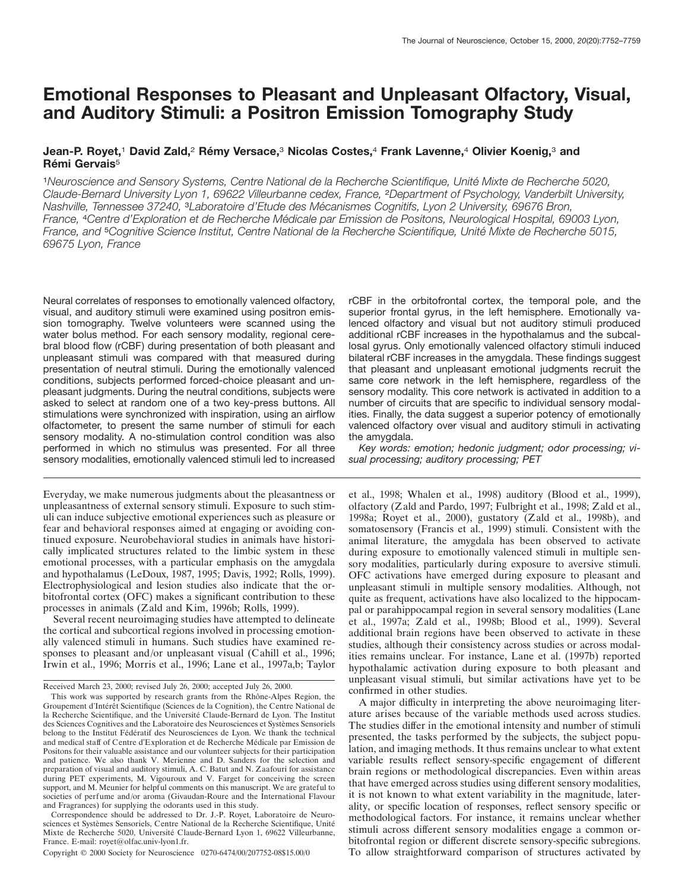# **Emotional Responses to Pleasant and Unpleasant Olfactory, Visual, and Auditory Stimuli: a Positron Emission Tomography Study**

# **Jean-P. Royet,1 David Zald,2 Rémy Versace,3 Nicolas Costes,4 Frank Lavenne,4 Olivier Koenig,3 and Rémi Gervais**<sup>5</sup>

<sup>1</sup>*Neuroscience and Sensory Systems, Centre National de la Recherche Scientifique, Unite´ Mixte de Recherche 5020, Claude-Bernard University Lyon 1, 69622 Villeurbanne cedex, France,* <sup>2</sup>*Department of Psychology, Vanderbilt University, Nashville, Tennessee 37240,* <sup>3</sup>*Laboratoire d'Etude des Me´ canismes Cognitifs, Lyon 2 University, 69676 Bron,* France, <sup>4</sup>Centre d'Exploration et de Recherche Médicale par Emission de Positons, Neurological Hospital, 69003 Lyon, *France, and* <sup>5</sup>*Cognitive Science Institut, Centre National de la Recherche Scientifique, Unite´ Mixte de Recherche 5015, 69675 Lyon, France*

Neural correlates of responses to emotionally valenced olfactory, visual, and auditory stimuli were examined using positron emission tomography. Twelve volunteers were scanned using the water bolus method. For each sensory modality, regional cerebral blood flow (rCBF) during presentation of both pleasant and unpleasant stimuli was compared with that measured during presentation of neutral stimuli. During the emotionally valenced conditions, subjects performed forced-choice pleasant and unpleasant judgments. During the neutral conditions, subjects were asked to select at random one of a two key-press buttons. All stimulations were synchronized with inspiration, using an airflow olfactometer, to present the same number of stimuli for each sensory modality. A no-stimulation control condition was also performed in which no stimulus was presented. For all three sensory modalities, emotionally valenced stimuli led to increased

Everyday, we make numerous judgments about the pleasantness or unpleasantness of external sensory stimuli. Exposure to such stimuli can induce subjective emotional experiences such as pleasure or fear and behavioral responses aimed at engaging or avoiding continued exposure. Neurobehavioral studies in animals have historically implicated structures related to the limbic system in these emotional processes, with a particular emphasis on the amygdala and hypothalamus (LeDoux, 1987, 1995; Davis, 1992; Rolls, 1999). Electrophysiological and lesion studies also indicate that the orbitofrontal cortex (OFC) makes a significant contribution to these processes in animals (Zald and Kim, 1996b; Rolls, 1999).

Several recent neuroimaging studies have attempted to delineate the cortical and subcortical regions involved in processing emotionally valenced stimuli in humans. Such studies have examined responses to pleasant and/or unpleasant visual (Cahill et al., 1996; Irwin et al., 1996; Morris et al., 1996; Lane et al., 1997a,b; Taylor

Correspondence should be addressed to Dr. J.-P. Royet, Laboratoire de Neurosciences et Systèmes Sensoriels, Centre National de la Recherche Scientifique, Unité Mixte de Recherche 5020, Université Claude-Bernard Lyon 1, 69622 Villeurbanne, France. E-mail: royet@olfac.univ-lyon1.fr.

Copyright © 2000 Society for Neuroscience 0270-6474/00/207752-08\$15.00/0

rCBF in the orbitofrontal cortex, the temporal pole, and the superior frontal gyrus, in the left hemisphere. Emotionally valenced olfactory and visual but not auditory stimuli produced additional rCBF increases in the hypothalamus and the subcallosal gyrus. Only emotionally valenced olfactory stimuli induced bilateral rCBF increases in the amygdala. These findings suggest that pleasant and unpleasant emotional judgments recruit the same core network in the left hemisphere, regardless of the sensory modality. This core network is activated in addition to a number of circuits that are specific to individual sensory modalities. Finally, the data suggest a superior potency of emotionally valenced olfactory over visual and auditory stimuli in activating the amygdala.

*Key words: emotion; hedonic judgment; odor processing; visual processing; auditory processing; PET*

et al., 1998; Whalen et al., 1998) auditory (Blood et al., 1999), olfactory (Zald and Pardo, 1997; Fulbright et al., 1998; Zald et al., 1998a; Royet et al., 2000), gustatory (Zald et al., 1998b), and somatosensory (Francis et al., 1999) stimuli. Consistent with the animal literature, the amygdala has been observed to activate during exposure to emotionally valenced stimuli in multiple sensory modalities, particularly during exposure to aversive stimuli. OFC activations have emerged during exposure to pleasant and unpleasant stimuli in multiple sensory modalities. Although, not quite as frequent, activations have also localized to the hippocampal or parahippocampal region in several sensory modalities (Lane et al., 1997a; Zald et al., 1998b; Blood et al., 1999). Several additional brain regions have been observed to activate in these studies, although their consistency across studies or across modalities remains unclear. For instance, Lane et al. (1997b) reported hypothalamic activation during exposure to both pleasant and unpleasant visual stimuli, but similar activations have yet to be confirmed in other studies.

A major difficulty in interpreting the above neuroimaging literature arises because of the variable methods used across studies. The studies differ in the emotional intensity and number of stimuli presented, the tasks performed by the subjects, the subject population, and imaging methods. It thus remains unclear to what extent variable results reflect sensory-specific engagement of different brain regions or methodological discrepancies. Even within areas that have emerged across studies using different sensory modalities, it is not known to what extent variability in the magnitude, laterality, or specific location of responses, reflect sensory specific or methodological factors. For instance, it remains unclear whether stimuli across different sensory modalities engage a common orbitofrontal region or different discrete sensory-specific subregions. To allow straightforward comparison of structures activated by

Received March 23, 2000; revised July 26, 2000; accepted July 26, 2000.

This work was supported by research grants from the Rhône-Alpes Region, the Groupement d'Intérêt Scientifique (Sciences de la Cognition), the Centre National de la Recherche Scientifique, and the Université Claude-Bernard de Lyon. The Institut des Sciences Cognitives and the Laboratoire des Neurosciences et Systèmes Sensoriels belong to the Institut Fédératif des Neurosciences de Lyon. We thank the technical and medical staff of Centre d'Exploration et de Recherche Médicale par Emission de Positons for their valuable assistance and our volunteer subjects for their participation and patience. We also thank V. Merienne and D. Sanders for the selection and preparation of visual and auditory stimuli, A. C. Batut and N. Zaafouri for assistance during PET experiments, M. Vigouroux and V. Farget for conceiving the screen support, and M. Meunier for helpful comments on this manuscript. We are grateful to societies of perfume and/or aroma (Givaudan-Roure and the International Flavour and Fragrances) for supplying the odorants used in this study.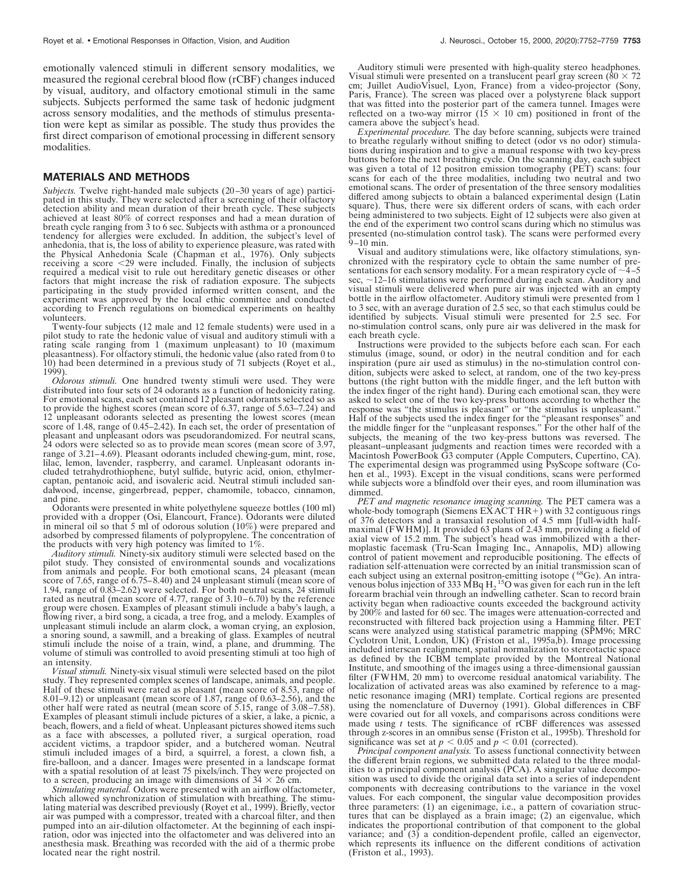emotionally valenced stimuli in different sensory modalities, we measured the regional cerebral blood flow (rCBF) changes induced by visual, auditory, and olfactory emotional stimuli in the same subjects. Subjects performed the same task of hedonic judgment across sensory modalities, and the methods of stimulus presentation were kept as similar as possible. The study thus provides the first direct comparison of emotional processing in different sensory modalities.

#### **MATERIALS AND METHODS**

*Subjects.* Twelve right-handed male subjects (20–30 years of age) participated in this study. They were selected after a screening of their olfactory detection ability and mean duration of their breath cycle. These subjects achieved at least 80% of correct responses and had a mean duration of breath cycle ranging from 3 to 6 sec. Subjects with asthma or a pronounced tendency for allergies were excluded. In addition, the subject's level of anhedonia, that is, the loss of ability to experience pleasure, was rated with the Physical Anhedonia Scale (Chapman et al., 1976). Only subjects receiving a score  $\leq$ 29 were included. Finally, the inclusion of subjects required a medical visit to rule out hereditary genetic diseases or other factors that might increase the risk of radiation exposure. The subjects participating in the study provided informed written consent, and the experiment was approved by the local ethic committee and conducted according to French regulations on biomedical experiments on healthy volunteers.

Twenty-four subjects (12 male and 12 female students) were used in a pilot study to rate the hedonic value of visual and auditory stimuli with a rating scale ranging from 1 (maximum unpleasant) to 10 (maximum pleasantness). For olfactory stimuli, the hedonic value (also rated from 0 to 10) had been determined in a previous study of 71 subjects (Royet et al., 1999).

*Odorous stimuli.* One hundred twenty stimuli were used. They were distributed into four sets of 24 odorants as a function of hedonicity rating. For emotional scans, each set contained 12 pleasant odorants selected so as to provide the highest scores (mean score of 6.37, range of 5.63–7.24) and 12 unpleasant odorants selected as presenting the lowest scores (mean score of 1.48, range of 0.45–2.42). In each set, the order of presentation of pleasant and unpleasant odors was pseudorandomized. For neutral scans, 24 odors were selected so as to provide mean scores (mean score of 3.97, range of 3.21–4.69). Pleasant odorants included chewing-gum, mint, rose, lilac, lemon, lavender, raspberry, and caramel. Unpleasant odorants included tetrahydrothiophene, butyl sulfide, butyric acid, onion, ethylmercaptan, pentanoic acid, and isovaleric acid. Neutral stimuli included sandalwood, incense, gingerbread, pepper, chamomile, tobacco, cinnamon, and pine.

Odorants were presented in white polyethylene squeeze bottles (100 ml) provided with a dropper (Osi, Elancourt, France). Odorants were diluted in mineral oil so that 5 ml of odorous solution (10%) were prepared and adsorbed by compressed filaments of polypropylene. The concentration of the products with very high potency was limited to 1%.

*Auditory stimuli.* Ninety-six auditory stimuli were selected based on the pilot study. They consisted of environmental sounds and vocalizations from animals and people. For both emotional scans, 24 pleasant (mean score of 7.65, range of 6.75–8.40) and 24 unpleasant stimuli (mean score of 1.94, range of 0.83–2.62) were selected. For both neutral scans, 24 stimuli rated as neutral (mean score of 4.77, range of 3.10–6.70) by the reference group were chosen. Examples of pleasant stimuli include a baby's laugh, a flowing river, a bird song, a cicada, a tree frog, and a melody. Examples of unpleasant stimuli include an alarm clock, a woman crying, an explosion, a snoring sound, a sawmill, and a breaking of glass. Examples of neutral stimuli include the noise of a train, wind, a plane, and drumming. The volume of stimuli was controlled to avoid presenting stimuli at too high of an intensity.

*Visual stimuli.* Ninety-six visual stimuli were selected based on the pilot study. They represented complex scenes of landscape, animals, and people. Half of these stimuli were rated as pleasant (mean score of 8.53, range of 8.01–9.12) or unpleasant (mean score of 1.87, range of 0.63–2.56), and the other half were rated as neutral (mean score of 5.15, range of 3.08–7.58). Examples of pleasant stimuli include pictures of a skier, a lake, a picnic, a beach, flowers, and a field of wheat. Unpleasant pictures showed items such as a face with abscesses, a polluted river, a surgical operation, road accident victims, a trapdoor spider, and a butchered woman. Neutral stimuli included images of a bird, a squirrel, a forest, a clown fish, a fire-balloon, and a dancer. Images were presented in a landscape format with a spatial resolution of at least 75 pixels/inch. They were projected on to a screen, producing an image with dimensions of  $34 \times 26$  cm.

*Stimulating material.* Odors were presented with an airflow olfactometer, which allowed synchronization of stimulation with breathing. The stimulating material was described previously (Royet et al., 1999). Briefly, vector air was pumped with a compressor, treated with a charcoal filter, and then pumped into an air-dilution olfactometer. At the beginning of each inspiration, odor was injected into the olfactometer and was delivered into an anesthesia mask. Breathing was recorded with the aid of a thermic probe located near the right nostril.

Auditory stimuli were presented with high-quality stereo headphones. Visual stimuli were presented on a translucent pearl gray screen ( $80 \times 72$ ) cm; Juillet AudioVisuel, Lyon, France) from a video-projector (Sony, Paris, France). The screen was placed over a polystyrene black support that was fitted into the posterior part of the camera tunnel. Images were reflected on a two-way mirror ( $15 \times 10$  cm) positioned in front of the camera above the subject's head.

*Experimental procedure.* The day before scanning, subjects were trained to breathe regularly without sniffing to detect (odor vs no odor) stimulations during inspiration and to give a manual response with two key-press buttons before the next breathing cycle. On the scanning day, each subject was given a total of 12 positron emission tomography (PET) scans: four scans for each of the three modalities, including two neutral and two emotional scans. The order of presentation of the three sensory modalities differed among subjects to obtain a balanced experimental design (Latin square). Thus, there were six different orders of scans, with each order being administered to two subjects. Eight of 12 subjects were also given at the end of the experiment two control scans during which no stimulus was presented (no-stimulation control task). The scans were performed every 9–10 min.

Visual and auditory stimulations were, like olfactory stimulations, synchronized with the respiratory cycle to obtain the same number of presentations for each sensory modality. For a mean respiratory cycle of  $\sim$ 4–5 sec,  $\sim$ 12–16 stimulations were performed during each scan. Auditory and visual stimuli were delivered when pure air was injected with an empty bottle in the airflow olfactometer. Auditory stimuli were presented from 1 to 3 sec, with an average duration of 2.5 sec, so that each stimulus could be identified by subjects. Visual stimuli were presented for 2.5 sec. For no-stimulation control scans, only pure air was delivered in the mask for each breath cycle.

Instructions were provided to the subjects before each scan. For each stimulus (image, sound, or odor) in the neutral condition and for each inspiration (pure air used as stimulus) in the no-stimulation control condition, subjects were asked to select, at random, one of the two key-press buttons (the right button with the middle finger, and the left button with the index finger of the right hand). During each emotional scan, they were asked to select one of the two key-press buttons according to whether the response was "the stimulus is pleasant" or "the stimulus is unpleasant." Half of the subjects used the index finger for the "pleasant responses" and the middle finger for the "unpleasant responses." For the other half of the subjects, the meaning of the two key-press buttons was reversed. The pleasant–unpleasant judgments and reaction times were recorded with a Macintosh PowerBook G3 computer (Apple Computers, Cupertino, CA). The experimental design was programmed using PsyScope software (Cohen et al., 1993). Except in the visual conditions, scans were performed while subjects wore a blindfold over their eyes, and room illumination was dimmed.

*PET and magnetic resonance imaging scanning.* The PET camera was a whole-body tomograph (Siemens  $\overline{EXACTHR+}$ ) with 32 contiguous rings of 376 detectors and a transaxial resolution of 4.5 mm [full-width halfmaximal (FWHM)]. It provided 63 plans of 2.43 mm, providing a field of axial view of 15.2 mm. The subject's head was immobilized with a thermoplastic facemask (Tru-Scan Imaging Inc., Annapolis, MD) allowing control of patient movement and reproducible positioning. The effects of radiation self-attenuation were corrected by an initial transmission scan of each subject using an external positron-emitting isotope ( $^{68}$ Ge). An intravenous bolus injection of 333 MBq  $H_2$ <sup>15</sup>O was given for each run in the left forearm brachial vein through an indwelling catheter. Scan to record brain activity began when radioactive counts exceeded the background activity by 200% and lasted for 60 sec. The images were attenuation-corrected and reconstructed with filtered back projection using a Hamming filter. PET scans were analyzed using statistical parametric mapping (SPM96; MRC Cyclotron Unit, London, UK) (Friston et al., 1995a,b). Image processing included interscan realignment, spatial normalization to stereotactic space as defined by the ICBM template provided by the Montreal National Institute, and smoothing of the images using a three-dimensional gaussian filter (FWHM, 20 mm) to overcome residual anatomical variability. The localization of activated areas was also examined by reference to a magnetic resonance imaging (MRI) template. Cortical regions are presented using the nomenclature of Duvernoy (1991). Global differences in CBF were covaried out for all voxels, and comparisons across conditions were made using *t* tests. The significance of rCBF differences was assessed through z-scores in an omnibus sense (Friston et al., 1995b). Threshold for significance was set at  $p < 0.05$  and  $p < 0.01$  (corrected).

*Principal component analysis.* To assess functional connectivity between the different brain regions, we submitted data related to the three modalities to a principal component analysis (PCA). A singular value decomposition was used to divide the original data set into a series of independent components with decreasing contributions to the variance in the voxel values. For each component, the singular value decomposition provides three parameters: (1) an eigenimage, i.e., a pattern of covariation structures that can be displayed as a brain image; (2) an eigenvalue, which indicates the proportional contribution of that component to the global variance; and (3) a condition-dependent profile, called an eigenvector, which represents its influence on the different conditions of activation (Friston et al., 1993).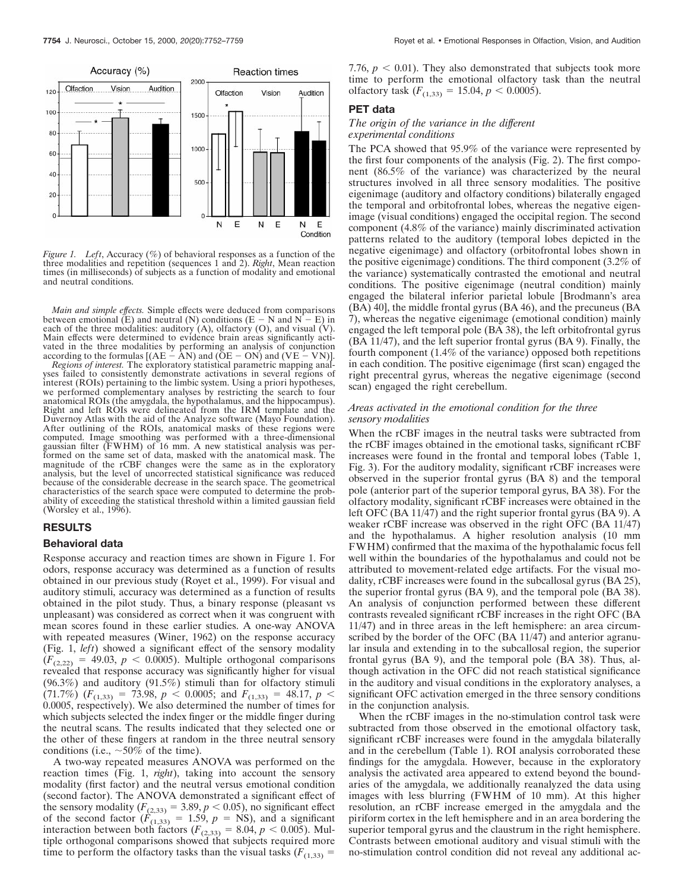

*Figure 1. Left*, Accuracy (%) of behavioral responses as a function of the three modalities and repetition (sequences 1 and 2). *Right*, Mean reaction times (in milliseconds) of subjects as a function of modality and emotional and neutral conditions.

*Main and simple effects.* Simple effects were deduced from comparisons between emotional (E) and neutral (N) conditions  $(E - N \text{ and } N - E)$  in each of the three modalities: auditory  $(A)$ , olfactory  $(O)$ , and visual  $(V)$ . Main effects were determined to evidence brain areas significantly activated in the three modalities by performing an analysis of conjunction according to the formulas  $[(AE - AN)$  and  $(OE - ON)$  and  $(VE - VN)]$ .

*Regions of interest.* The exploratory statistical parametric mapping analyses failed to consistently demonstrate activations in several regions of interest (ROIs) pertaining to the limbic system. Using a priori hypotheses, we performed complementary analyses by restricting the search to four anatomical ROIs (the amygdala, the hypothalamus, and the hippocampus). Right and left ROIs were delineated from the IRM template and the Duvernoy Atlas with the aid of the Analyze software (Mayo Foundation). After outlining of the ROIs, anatomical masks of these regions were computed. Image smoothing was performed with a three-dimensional gaussian filter (FWHM) of 16 mm. A new statistical analysis was performed on the same set of data, masked with the anatomical mask. The magnitude of the rCBF changes were the same as in the exploratory analysis, but the level of uncorrected statistical significance was reduced because of the considerable decrease in the search space. The geometrical characteristics of the search space were computed to determine the probability of exceeding the statistical threshold within a limited gaussian field (Worsley et al., 1996).

## **RESULTS**

#### **Behavioral data**

Response accuracy and reaction times are shown in Figure 1. For odors, response accuracy was determined as a function of results obtained in our previous study (Royet et al., 1999). For visual and auditory stimuli, accuracy was determined as a function of results obtained in the pilot study. Thus, a binary response (pleasant vs unpleasant) was considered as correct when it was congruent with mean scores found in these earlier studies. A one-way ANOVA with repeated measures (Winer, 1962) on the response accuracy (Fig. 1, *left*) showed a significant effect of the sensory modality  $(F_{(2,22)} = 49.03, p < 0.0005)$ . Multiple orthogonal comparisons revealed that response accuracy was significantly higher for visual  $(96.3%)$  and auditory  $(91.5%)$  stimuli than for olfactory stimuli  $(71.7\%)$   $(F_{(1,33)} = 73.98, p < 0.0005;$  and  $F_{(1,33)} = 48.17, p <$ 0.0005, respectively). We also determined the number of times for which subjects selected the index finger or the middle finger during the neutral scans. The results indicated that they selected one or the other of these fingers at random in the three neutral sensory conditions (i.e.,  $\sim 50\%$  of the time).

A two-way repeated measures ANOVA was performed on the reaction times (Fig. 1, *right*), taking into account the sensory modality (first factor) and the neutral versus emotional condition (second factor). The ANOVA demonstrated a significant effect of the sensory modality  $(F_{(2,33)} = 3.89, p < 0.05)$ , no significant effect of the second factor  $(F_{(1,33)} = 1.59, p = NS)$ , and a significant interaction between both factors  $(F_{(2,33)} = 8.04, p \le 0.005)$ . Multiple orthogonal comparisons showed that subjects required more time to perform the olfactory tasks than the visual tasks  $(F_{(1,33)} =$ 

7.76,  $p < 0.01$ ). They also demonstrated that subjects took more time to perform the emotional olfactory task than the neutral olfactory task  $(F_{(1,33)} = 15.04, p < 0.0005)$ .

#### **PET data**

#### *The origin of the variance in the different experimental conditions*

The PCA showed that 95.9% of the variance were represented by the first four components of the analysis (Fig. 2). The first component (86.5% of the variance) was characterized by the neural structures involved in all three sensory modalities. The positive eigenimage (auditory and olfactory conditions) bilaterally engaged the temporal and orbitofrontal lobes, whereas the negative eigenimage (visual conditions) engaged the occipital region. The second component (4.8% of the variance) mainly discriminated activation patterns related to the auditory (temporal lobes depicted in the negative eigenimage) and olfactory (orbitofrontal lobes shown in the positive eigenimage) conditions. The third component (3.2% of the variance) systematically contrasted the emotional and neutral conditions. The positive eigenimage (neutral condition) mainly engaged the bilateral inferior parietal lobule [Brodmann's area (BA) 40], the middle frontal gyrus (BA 46), and the precuneus (BA 7), whereas the negative eigenimage (emotional condition) mainly engaged the left temporal pole (BA 38), the left orbitofrontal gyrus (BA 11/47), and the left superior frontal gyrus (BA 9). Finally, the fourth component (1.4% of the variance) opposed both repetitions in each condition. The positive eigenimage (first scan) engaged the right precentral gyrus, whereas the negative eigenimage (second scan) engaged the right cerebellum.

## *Areas activated in the emotional condition for the three sensory modalities*

When the rCBF images in the neutral tasks were subtracted from the rCBF images obtained in the emotional tasks, significant rCBF increases were found in the frontal and temporal lobes (Table 1, Fig. 3). For the auditory modality, significant rCBF increases were observed in the superior frontal gyrus (BA 8) and the temporal pole (anterior part of the superior temporal gyrus, BA 38). For the olfactory modality, significant rCBF increases were obtained in the left OFC (BA 11/47) and the right superior frontal gyrus (BA 9). A weaker rCBF increase was observed in the right OFC (BA 11/47) and the hypothalamus. A higher resolution analysis (10 mm FWHM) confirmed that the maxima of the hypothalamic focus fell well within the boundaries of the hypothalamus and could not be attributed to movement-related edge artifacts. For the visual modality, rCBF increases were found in the subcallosal gyrus (BA 25), the superior frontal gyrus (BA 9), and the temporal pole (BA 38). An analysis of conjunction performed between these different contrasts revealed significant rCBF increases in the right OFC (BA 11/47) and in three areas in the left hemisphere: an area circumscribed by the border of the OFC (BA 11/47) and anterior agranular insula and extending in to the subcallosal region, the superior frontal gyrus (BA 9), and the temporal pole (BA 38). Thus, although activation in the OFC did not reach statistical significance in the auditory and visual conditions in the exploratory analyses, a significant OFC activation emerged in the three sensory conditions in the conjunction analysis.

When the rCBF images in the no-stimulation control task were subtracted from those observed in the emotional olfactory task, significant rCBF increases were found in the amygdala bilaterally and in the cerebellum (Table 1). ROI analysis corroborated these findings for the amygdala. However, because in the exploratory analysis the activated area appeared to extend beyond the boundaries of the amygdala, we additionally reanalyzed the data using images with less blurring (FWHM of 10 mm). At this higher resolution, an rCBF increase emerged in the amygdala and the piriform cortex in the left hemisphere and in an area bordering the superior temporal gyrus and the claustrum in the right hemisphere. Contrasts between emotional auditory and visual stimuli with the no-stimulation control condition did not reveal any additional ac-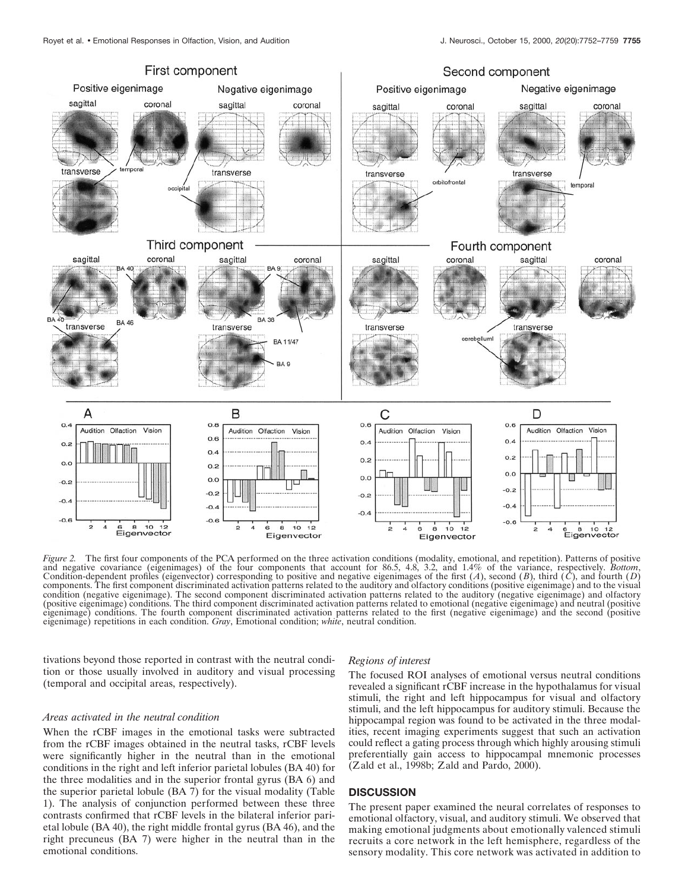

*Figure 2.* The first four components of the PCA performed on the three activation conditions (modality, emotional, and repetition). Patterns of positive and negative covariance (eigenimages) of the four components that account for 86.5, 4.8, 3.2, and 1.4% of the variance, respectively. *Bottom*, Condition-dependent profiles (eigenvector) corresponding to positive and negative eigenimages of the first  $(A)$ , second  $(B)$ , third  $(C)$ , and fourth  $(D)$ components. The first component discriminated activation patterns related to the auditory and olfactory conditions (positive eigenimage) and to the visual condition (negative eigenimage). The second component discriminated activation patterns related to the auditory (negative eigenimage) and olfactory (positive eigenimage) conditions. The third component discriminated activation patterns related to emotional (negative eigenimage) and neutral (positive eigenimage) conditions. The fourth component discriminated activation patterns related to the first (negative eigenimage) and the second (positive eigenimage) repetitions in each condition. *Gray*, Emotional condition; *white*, neutral condition.

tivations beyond those reported in contrast with the neutral condition or those usually involved in auditory and visual processing (temporal and occipital areas, respectively).

## *Areas activated in the neutral condition*

When the rCBF images in the emotional tasks were subtracted from the rCBF images obtained in the neutral tasks, rCBF levels were significantly higher in the neutral than in the emotional conditions in the right and left inferior parietal lobules (BA 40) for the three modalities and in the superior frontal gyrus (BA 6) and the superior parietal lobule (BA 7) for the visual modality (Table 1). The analysis of conjunction performed between these three contrasts confirmed that rCBF levels in the bilateral inferior parietal lobule (BA 40), the right middle frontal gyrus (BA 46), and the right precuneus (BA 7) were higher in the neutral than in the emotional conditions.

#### *Regions of interest*

The focused ROI analyses of emotional versus neutral conditions revealed a significant rCBF increase in the hypothalamus for visual stimuli, the right and left hippocampus for visual and olfactory stimuli, and the left hippocampus for auditory stimuli. Because the hippocampal region was found to be activated in the three modalities, recent imaging experiments suggest that such an activation could reflect a gating process through which highly arousing stimuli preferentially gain access to hippocampal mnemonic processes (Zald et al., 1998b; Zald and Pardo, 2000).

## **DISCUSSION**

The present paper examined the neural correlates of responses to emotional olfactory, visual, and auditory stimuli. We observed that making emotional judgments about emotionally valenced stimuli recruits a core network in the left hemisphere, regardless of the sensory modality. This core network was activated in addition to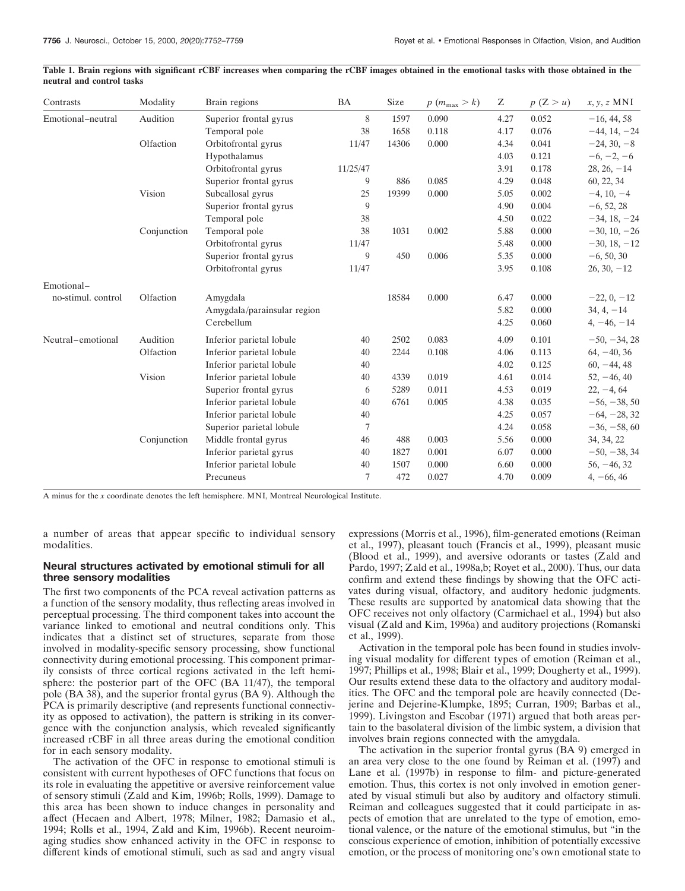|                           | Table 1. Brain regions with significant rCBF increases when comparing the rCBF images obtained in the emotional tasks with those obtained in the |  |  |  |  |  |  |  |
|---------------------------|--------------------------------------------------------------------------------------------------------------------------------------------------|--|--|--|--|--|--|--|
| neutral and control tasks |                                                                                                                                                  |  |  |  |  |  |  |  |

| Contrasts          | Modality    | Brain regions               | <b>BA</b> | Size  | $p(m_{\text{max}} > k)$ | Ζ    | p(Z>u) | $x, y, z$ MNI  |
|--------------------|-------------|-----------------------------|-----------|-------|-------------------------|------|--------|----------------|
| Emotional-neutral  | Audition    | Superior frontal gyrus      | 8         | 1597  | 0.090                   | 4.27 | 0.052  | $-16, 44, 58$  |
|                    |             | Temporal pole               | 38        | 1658  | 0.118                   | 4.17 | 0.076  | $-44, 14, -24$ |
|                    | Olfaction   | Orbitofrontal gyrus         | 11/47     | 14306 | 0.000                   | 4.34 | 0.041  | $-24, 30, -8$  |
|                    |             | Hypothalamus                |           |       |                         | 4.03 | 0.121  | $-6, -2, -6$   |
|                    |             | Orbitofrontal gyrus         | 11/25/47  |       |                         | 3.91 | 0.178  | $28, 26, -14$  |
|                    |             | Superior frontal gyrus      | 9         | 886   | 0.085                   | 4.29 | 0.048  | 60, 22, 34     |
|                    | Vision      | Subcallosal gyrus           | 25        | 19399 | 0.000                   | 5.05 | 0.002  | $-4, 10, -4$   |
|                    |             | Superior frontal gyrus      | 9         |       |                         | 4.90 | 0.004  | $-6, 52, 28$   |
|                    |             | Temporal pole               | 38        |       |                         | 4.50 | 0.022  | $-34, 18, -24$ |
|                    | Conjunction | Temporal pole               | 38        | 1031  | 0.002                   | 5.88 | 0.000  | $-30, 10, -26$ |
|                    |             | Orbitofrontal gyrus         | 11/47     |       |                         | 5.48 | 0.000  | $-30, 18, -12$ |
|                    |             | Superior frontal gyrus      | 9         | 450   | 0.006                   | 5.35 | 0.000  | $-6, 50, 30$   |
|                    |             | Orbitofrontal gyrus         | 11/47     |       |                         | 3.95 | 0.108  | $26, 30, -12$  |
| Emotional-         |             |                             |           |       |                         |      |        |                |
| no-stimul. control | Olfaction   | Amygdala                    |           | 18584 | 0.000                   | 6.47 | 0.000  | $-22, 0, -12$  |
|                    |             | Amygdala/parainsular region |           |       |                         | 5.82 | 0.000  | $34, 4, -14$   |
|                    |             | Cerebellum                  |           |       |                         | 4.25 | 0.060  | $4, -46, -14$  |
| Neutral-emotional  | Audition    | Inferior parietal lobule    | 40        | 2502  | 0.083                   | 4.09 | 0.101  | $-50, -34, 28$ |
|                    | Olfaction   | Inferior parietal lobule    | 40        | 2244  | 0.108                   | 4.06 | 0.113  | $64, -40, 36$  |
|                    |             | Inferior parietal lobule    | 40        |       |                         | 4.02 | 0.125  | $60, -44, 48$  |
|                    | Vision      | Inferior parietal lobule    | 40        | 4339  | 0.019                   | 4.61 | 0.014  | $52, -46, 40$  |
|                    |             | Superior frontal gyrus      | 6         | 5289  | 0.011                   | 4.53 | 0.019  | $22, -4, 64$   |
|                    |             | Inferior parietal lobule    | 40        | 6761  | 0.005                   | 4.38 | 0.035  | $-56, -38, 50$ |
|                    |             | Inferior parietal lobule    | 40        |       |                         | 4.25 | 0.057  | $-64, -28, 32$ |
|                    |             | Superior parietal lobule    | 7         |       |                         | 4.24 | 0.058  | $-36, -58, 60$ |
|                    | Conjunction | Middle frontal gyrus        | 46        | 488   | 0.003                   | 5.56 | 0.000  | 34, 34, 22     |
|                    |             | Inferior parietal gyrus     | 40        | 1827  | 0.001                   | 6.07 | 0.000  | $-50, -38, 34$ |
|                    |             | Inferior parietal lobule    | 40        | 1507  | 0.000                   | 6.60 | 0.000  | $56, -46, 32$  |
|                    |             | Precuneus                   | 7         | 472   | 0.027                   | 4.70 | 0.009  | $4, -66, 46$   |
|                    |             |                             |           |       |                         |      |        |                |

A minus for the *x* coordinate denotes the left hemisphere. MNI, Montreal Neurological Institute.

a number of areas that appear specific to individual sensory modalities.

## **Neural structures activated by emotional stimuli for all three sensory modalities**

The first two components of the PCA reveal activation patterns as a function of the sensory modality, thus reflecting areas involved in perceptual processing. The third component takes into account the variance linked to emotional and neutral conditions only. This indicates that a distinct set of structures, separate from those involved in modality-specific sensory processing, show functional connectivity during emotional processing. This component primarily consists of three cortical regions activated in the left hemisphere: the posterior part of the OFC (BA 11/47), the temporal pole (BA 38), and the superior frontal gyrus (BA 9). Although the PCA is primarily descriptive (and represents functional connectivity as opposed to activation), the pattern is striking in its convergence with the conjunction analysis, which revealed significantly increased rCBF in all three areas during the emotional condition for in each sensory modality.

The activation of the OFC in response to emotional stimuli is consistent with current hypotheses of OFC functions that focus on its role in evaluating the appetitive or aversive reinforcement value of sensory stimuli (Zald and Kim, 1996b; Rolls, 1999). Damage to this area has been shown to induce changes in personality and affect (Hecaen and Albert, 1978; Milner, 1982; Damasio et al., 1994; Rolls et al., 1994, Zald and Kim, 1996b). Recent neuroimaging studies show enhanced activity in the OFC in response to different kinds of emotional stimuli, such as sad and angry visual expressions (Morris et al., 1996), film-generated emotions (Reiman et al., 1997), pleasant touch (Francis et al., 1999), pleasant music (Blood et al., 1999), and aversive odorants or tastes (Zald and Pardo, 1997; Zald et al., 1998a,b; Royet et al., 2000). Thus, our data confirm and extend these findings by showing that the OFC activates during visual, olfactory, and auditory hedonic judgments. These results are supported by anatomical data showing that the OFC receives not only olfactory (Carmichael et al., 1994) but also visual (Zald and Kim, 1996a) and auditory projections (Romanski et al., 1999).

Activation in the temporal pole has been found in studies involving visual modality for different types of emotion (Reiman et al., 1997; Phillips et al., 1998; Blair et al., 1999; Dougherty et al., 1999). Our results extend these data to the olfactory and auditory modalities. The OFC and the temporal pole are heavily connected (Dejerine and Dejerine-Klumpke, 1895; Curran, 1909; Barbas et al., 1999). Livingston and Escobar (1971) argued that both areas pertain to the basolateral division of the limbic system, a division that involves brain regions connected with the amygdala.

The activation in the superior frontal gyrus (BA 9) emerged in an area very close to the one found by Reiman et al. (1997) and Lane et al. (1997b) in response to film- and picture-generated emotion. Thus, this cortex is not only involved in emotion generated by visual stimuli but also by auditory and olfactory stimuli. Reiman and colleagues suggested that it could participate in aspects of emotion that are unrelated to the type of emotion, emotional valence, or the nature of the emotional stimulus, but "in the conscious experience of emotion, inhibition of potentially excessive emotion, or the process of monitoring one's own emotional state to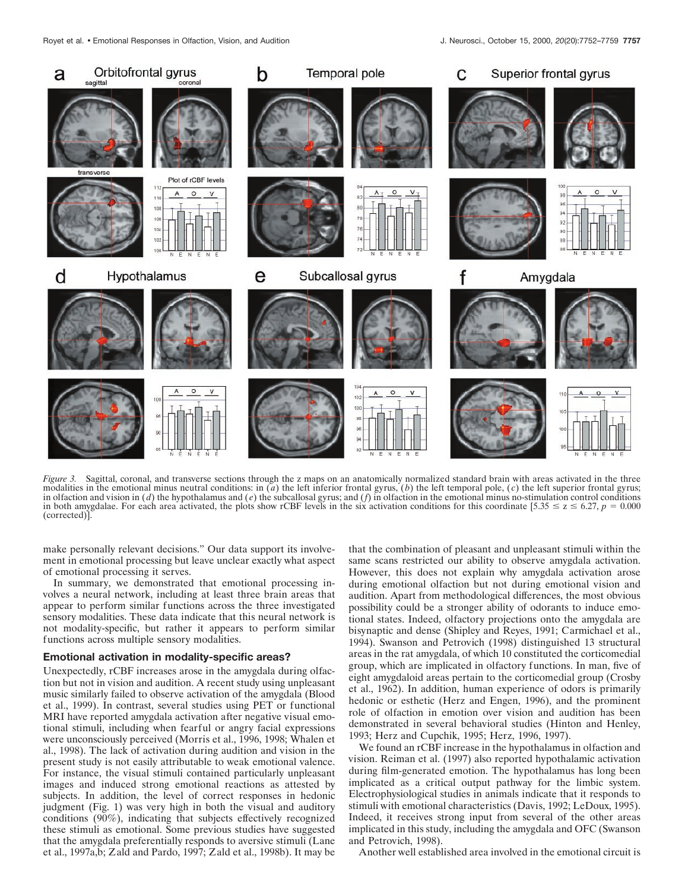

*Figure 3.* Sagittal, coronal, and transverse sections through the z maps on an anatomically normalized standard brain with areas activated in the three modalities in the emotional minus neutral conditions: in  $\overline{a}$ ) the left inferior frontal gyrus,  $\overline{b}$  the left temporal pole,  $\overline{c}$  the left superior frontal gyrus; in olfaction and vision in  $(d)$  the hypothalamus and  $(e)$  the subcallosal gyrus; and  $(f)$  in olfaction in the emotional minus no-stimulation control conditions in both amygdalae. For each area activated, the plots show rCBF levels in the six activation conditions for this coordinate  $[5.35 \le z \le 6.27, p = 0.000]$ (corrected)].

make personally relevant decisions." Our data support its involvement in emotional processing but leave unclear exactly what aspect of emotional processing it serves.

In summary, we demonstrated that emotional processing involves a neural network, including at least three brain areas that appear to perform similar functions across the three investigated sensory modalities. These data indicate that this neural network is not modality-specific, but rather it appears to perform similar functions across multiple sensory modalities.

## **Emotional activation in modality-specific areas?**

Unexpectedly, rCBF increases arose in the amygdala during olfaction but not in vision and audition. A recent study using unpleasant music similarly failed to observe activation of the amygdala (Blood et al., 1999). In contrast, several studies using PET or functional MRI have reported amygdala activation after negative visual emotional stimuli, including when fearful or angry facial expressions were unconsciously perceived (Morris et al., 1996, 1998; Whalen et al., 1998). The lack of activation during audition and vision in the present study is not easily attributable to weak emotional valence. For instance, the visual stimuli contained particularly unpleasant images and induced strong emotional reactions as attested by subjects. In addition, the level of correct responses in hedonic judgment (Fig. 1) was very high in both the visual and auditory conditions (90%), indicating that subjects effectively recognized these stimuli as emotional. Some previous studies have suggested that the amygdala preferentially responds to aversive stimuli (Lane et al., 1997a,b; Zald and Pardo, 1997; Zald et al., 1998b). It may be that the combination of pleasant and unpleasant stimuli within the same scans restricted our ability to observe amygdala activation. However, this does not explain why amygdala activation arose during emotional olfaction but not during emotional vision and audition. Apart from methodological differences, the most obvious possibility could be a stronger ability of odorants to induce emotional states. Indeed, olfactory projections onto the amygdala are bisynaptic and dense (Shipley and Reyes, 1991; Carmichael et al., 1994). Swanson and Petrovich (1998) distinguished 13 structural areas in the rat amygdala, of which 10 constituted the corticomedial group, which are implicated in olfactory functions. In man, five of eight amygdaloid areas pertain to the corticomedial group (Crosby et al., 1962). In addition, human experience of odors is primarily hedonic or esthetic (Herz and Engen, 1996), and the prominent role of olfaction in emotion over vision and audition has been demonstrated in several behavioral studies (Hinton and Henley, 1993; Herz and Cupchik, 1995; Herz, 1996, 1997).

We found an rCBF increase in the hypothalamus in olfaction and vision. Reiman et al. (1997) also reported hypothalamic activation during film-generated emotion. The hypothalamus has long been implicated as a critical output pathway for the limbic system. Electrophysiological studies in animals indicate that it responds to stimuli with emotional characteristics (Davis, 1992; LeDoux, 1995). Indeed, it receives strong input from several of the other areas implicated in this study, including the amygdala and OFC (Swanson and Petrovich, 1998).

Another well established area involved in the emotional circuit is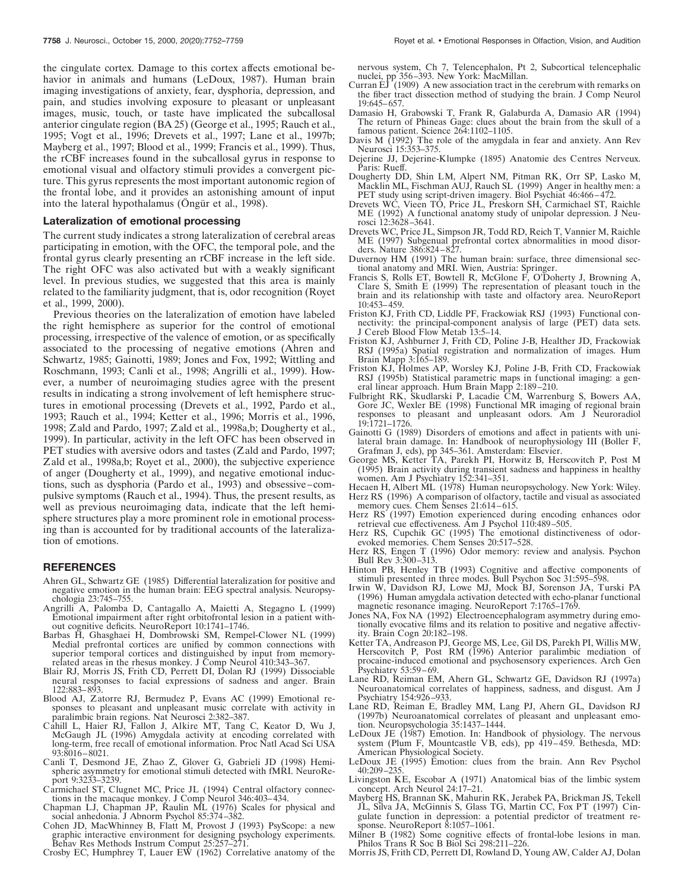the cingulate cortex. Damage to this cortex affects emotional behavior in animals and humans (LeDoux, 1987). Human brain imaging investigations of anxiety, fear, dysphoria, depression, and pain, and studies involving exposure to pleasant or unpleasant images, music, touch, or taste have implicated the subcallosal anterior cingulate region (BA 25) (George et al., 1995; Rauch et al., 1995; Vogt et al., 1996; Drevets et al., 1997; Lane et al., 1997b; Mayberg et al., 1997; Blood et al., 1999; Francis et al., 1999). Thus, the rCBF increases found in the subcallosal gyrus in response to emotional visual and olfactory stimuli provides a convergent picture. This gyrus represents the most important autonomic region of the frontal lobe, and it provides an astonishing amount of input into the lateral hypothalamus (Öngür et al., 1998).

### **Lateralization of emotional processing**

The current study indicates a strong lateralization of cerebral areas participating in emotion, with the OFC, the temporal pole, and the frontal gyrus clearly presenting an rCBF increase in the left side. The right OFC was also activated but with a weakly significant level. In previous studies, we suggested that this area is mainly related to the familiarity judgment, that is, odor recognition (Royet et al., 1999, 2000).

Previous theories on the lateralization of emotion have labeled the right hemisphere as superior for the control of emotional processing, irrespective of the valence of emotion, or as specifically associated to the processing of negative emotions (Ahren and Schwartz, 1985; Gainotti, 1989; Jones and Fox, 1992; Wittling and Roschmann, 1993; Canli et al., 1998; Angrilli et al., 1999). However, a number of neuroimaging studies agree with the present results in indicating a strong involvement of left hemisphere structures in emotional processing (Drevets et al., 1992, Pardo et al., 1993; Rauch et al., 1994; Ketter et al., 1996; Morris et al., 1996, 1998; Zald and Pardo, 1997; Zald et al., 1998a,b; Dougherty et al., 1999). In particular, activity in the left OFC has been observed in PET studies with aversive odors and tastes (Zald and Pardo, 1997; Zald et al., 1998a,b; Royet et al., 2000), the subjective experience of anger (Dougherty et al., 1999), and negative emotional inductions, such as dysphoria (Pardo et al., 1993) and obsessive–compulsive symptoms (Rauch et al., 1994). Thus, the present results, as well as previous neuroimaging data, indicate that the left hemisphere structures play a more prominent role in emotional processing than is accounted for by traditional accounts of the lateralization of emotions.

#### **REFERENCES**

- Ahren GL, Schwartz GE (1985) Differential lateralization for positive and negative emotion in the human brain: EEG spectral analysis. Neuropsychologia 23:745–755.
- Angrilli A, Palomba D, Cantagallo A, Maietti A, Stegagno L (1999) Emotional impairment after right orbitofrontal lesion in a patient without cognitive deficits. NeuroReport 10:1741–1746.
- Barbas H, Ghasghaei H, Dombrowski SM, Rempel-Clower NL (1999) Medial prefrontal cortices are unified by common connections with superior temporal cortices and distinguished by input from memoryrelated areas in the rhesus monkey. J Comp Neurol 410:343–367.
- Blair RJ, Morris JS, Frith CD, Perrett DI, Dolan RJ (1999) Dissociable neural responses to facial expressions of sadness and anger. Brain 122:883–893.
- Blood AJ, Zatorre RJ, Bermudez P, Evans AC (1999) Emotional responses to pleasant and unpleasant music correlate with activity in paralimbic brain regions. Nat Neurosci 2:382–387.
- Cahill L, Haier RJ, Fallon J, Alkire MT, Tang C, Keator D, Wu J, McGaugh JL (1996) Amygdala activity at encoding correlated with long-term, free recall of emotional information. Proc Natl Acad Sci USA 93:8016–8021.
- Canli T, Desmond JE, Zhao Z, Glover G, Gabrieli JD (1998) Hemispheric asymmetry for emotional stimuli detected with fMRI. NeuroReport 9:3233–3239.
- Carmichael ST, Clugnet MC, Price JL (1994) Central olfactory connections in the macaque monkey. J Comp Neurol 346:403–434.
- Chapman LJ, Chapman JP, Raulin ML (1976) Scales for physical and social anhedonia. J Abnorm Psychol 85:374–382.
- Cohen JD, MacWhinney B, Flatt M, Provost J (1993) PsyScope: a new graphic interactive environment for designing psychology experiments. Behav Res Methods Instrum Comput 25:257–271.
- Crosby EC, Humphrey T, Lauer EW (1962) Correlative anatomy of the

nervous system, Ch 7, Telencephalon, Pt 2, Subcortical telencephalic nuclei, pp 356–393. New York: MacMillan.

- Curran  $E\ddot{J}$  (1909) A new association tract in the cerebrum with remarks on the fiber tract dissection method of studying the brain. J Comp Neurol 19:645–657.
- Damasio H, Grabowski T, Frank R, Galaburda A, Damasio AR (1994) The return of Phineas Gage: clues about the brain from the skull of a famous patient. Science 264:1102-1105.
- Davis M (1992) The role of the amygdala in fear and anxiety. Ann Rev Neurosci 15:353–375.
- Dejerine JJ, Dejerine-Klumpke (1895) Anatomie des Centres Nerveux. Paris: Rueff.
- Dougherty DD, Shin LM, Alpert NM, Pitman RK, Orr SP, Lasko M, Macklin ML, Fischman AUJ, Rauch SL (1999) Anger in healthy men: a PET study using script-driven imagery. Biol Psychiat 46:466–472.
- Drevets WC, Vieen TO, Price JL, Preskorn SH, Carmichael ST, Raichle ME (1992) A functional anatomy study of unipolar depression. J Neurosci 12:3628–3641.
- Drevets WC, Price JL, Simpson JR, Todd RD, Reich T, Vannier M, Raichle ME (1997) Subgenual prefrontal cortex abnormalities in mood disorders. Nature 386:824–827.
- Duvernoy HM (1991) The human brain: surface, three dimensional sectional anatomy and MRI. Wien, Austria: Springer.
- Francis S, Rolls ET, Bowtell R, McGlone F, O'Doherty J, Browning A, Clare S, Smith E (1999) The representation of pleasant touch in the brain and its relationship with taste and olfactory area. NeuroReport 10:453–459.
- Friston KJ, Frith CD, Liddle PF, Frackowiak RSJ (1993) Functional connectivity: the principal-component analysis of large (PET) data sets. J Cereb Blood Flow Metab 13:5–14.
- Friston KJ, Ashburner J, Frith CD, Poline J-B, Healther JD, Frackowiak RSJ (1995a) Spatial registration and normalization of images. Hum Brain Mapp 3:165–189.
- Friston KJ, Holmes AP, Worsley KJ, Poline J-B, Frith CD, Frackowiak RSJ (1995b) Statistical parametric maps in functional imaging: a general linear approach. Hum Brain Mapp 2:189–210.
- Fulbright RK, Skudlarski P, Lacadie CM, Warrenburg S, Bowers AA, Gore JC, Wexler BE (1998) Functional MR imaging of regional brain responses to pleasant and unpleasant odors. Am J Neuroradiol 19:1721–1726.
- Gainotti G (1989) Disorders of emotions and affect in patients with unilateral brain damage. In: Handbook of neurophysiology III (Boller F, Grafman J, eds), pp 345–361. Amsterdam: Elsevier.
- George MS, Ketter TA, Parekh PI, Horwitz B, Herscovitch P, Post M (1995) Brain activity during transient sadness and happiness in healthy women. Am J Psychiatry 152:341–351.
- Hecaen H, Albert ML (1978) Human neuropsychology. New York: Wiley.
- Herz RS (1996) A comparison of olfactory, tactile and visual as associated memory cues. Chem Senses 21:614-615
- Herz RS (1997) Emotion experienced during encoding enhances odor retrieval cue effectiveness. Am J Psychol 110:489–505.
- Herz RS, Cupchik GC (1995) The emotional distinctiveness of odorevoked memories. Chem Senses 20:517–528.
- Herz RS, Engen T (1996) Odor memory: review and analysis. Psychon Bull Rev 3:300–313.
- Hinton PB, Henley TB (1993) Cognitive and affective components of stimuli presented in three modes. Bull Psychon Soc 31:595–598.
- Irwin W, Davidson RJ, Lowe MJ, Mock BJ, Sorenson JA, Turski PA (1996) Human amygdala activation detected with echo-planar functional magnetic resonance imaging. NeuroReport 7:1765–1769.
- Jones NA, Fox NA (1992) Electroencephalogram asymmetry during emotionally evocative films and its relation to positive and negative affectivity. Brain Cogn 20:182–198.
- Ketter TA, Andreason PJ, George MS, Lee, Gil DS, Parekh PI, Willis MW, Herscovitch P, Post RM (1996) Anterior paralimbic mediation of procaine-induced emotional and psychosensory experiences. Arch Gen Psychiatry 53:59–69.
- Lane RD, Reiman EM, Ahern GL, Schwartz GE, Davidson RJ (1997a) Neuroanatomical correlates of happiness, sadness, and disgust. Am J Psychiatry 154:926–933.
- Lane RD, Reiman E, Bradley MM, Lang PJ, Ahern GL, Davidson RJ (1997b) Neuroanatomical correlates of pleasant and unpleasant emotion. Neuropsychologia 35:1437–1444.
- LeDoux JE (1987) Emotion. In: Handbook of physiology. The nervous system (Plum F, Mountcastle VB, eds), pp 419–459. Bethesda, MD: American Physiological Society.
- LeDoux JE (1995) Emotion: clues from the brain. Ann Rev Psychol 40:209–235.
- Livingston KE, Escobar A (1971) Anatomical bias of the limbic system concept. Arch Neurol 24:17–21.
- Mayberg HS, Brannan SK, Mahurin RK, Jerabek PA, Brickman JS, Tekell JL, Silva JA, McGinnis S, Glass TG, Martin CC, Fox PT (1997) Cingulate function in depression: a potential predictor of treatment response. NeuroReport 8:1057–1061.
- Milner B (1982) Some cognitive effects of frontal-lobe lesions in man. Philos Trans R Soc B Biol Sci 298:211-226.
- Morris JS, Frith CD, Perrett DI, Rowland D, Young AW, Calder AJ, Dolan